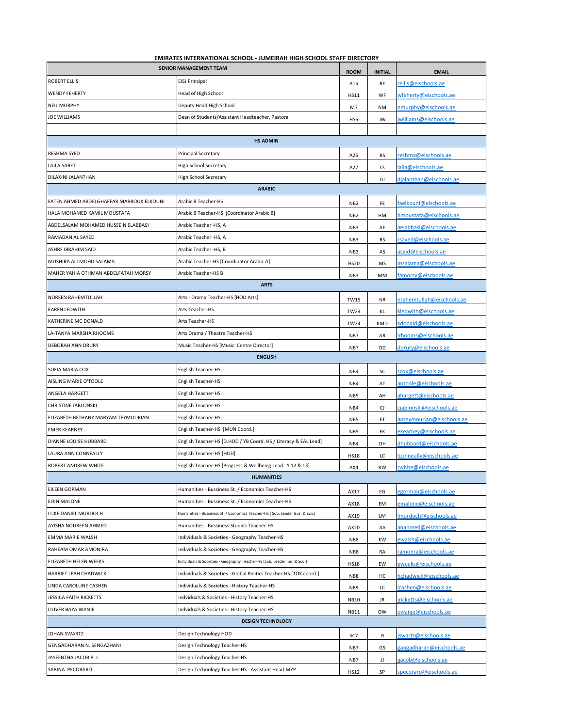## **EMIRATES INTERNATIONAL SCHOOL - JUMEIRAH HIGH SCHOOL STAFF DIRECTORY**

| <b>SENIOR MANAGEMENT TEAM</b>            |                                                                              | <b>ROOM</b>     | <b>INITIAL</b> | <b>EMAIL</b>              |  |  |
|------------------------------------------|------------------------------------------------------------------------------|-----------------|----------------|---------------------------|--|--|
| <b>ROBERT ELLIS</b>                      | <b>EISJ Principal</b>                                                        | A15             | RE             | rellis@eischools.ae       |  |  |
| <b>WENDY FEHERTY</b>                     | Head of High School                                                          | <b>HS11</b>     | WF             | wfeherty@eischools.ae     |  |  |
| <b>NEIL MURPHY</b>                       | Deputy Head High School                                                      | M7              | <b>NM</b>      | nmurphy@eischools.ae      |  |  |
| <b>JOE WILLIAMS</b>                      | Dean of Students/Assistant Headteacher, Pastoral                             | HS6             | JW             | jwilliams@eischools.ae    |  |  |
|                                          |                                                                              |                 |                |                           |  |  |
|                                          | <b>HS ADMIN</b>                                                              |                 |                |                           |  |  |
| <b>RESHMA SYED</b>                       | <b>Principal Secretary</b>                                                   | A26             | RS             | reshma@eischools.ae       |  |  |
| <b>LAILA SABET</b>                       | <b>High School Secretary</b>                                                 | A27             | LS             | laila@eischools.ae        |  |  |
| DILAXINI JALANTHAN                       | High School Secretary                                                        |                 | DJ             | dialanthan@eischools.ae   |  |  |
| <b>ARABIC</b>                            |                                                                              |                 |                |                           |  |  |
| FATEN AHMED ABDELGHAFFAR MABROUK ELKOUNI | Arabic B Teacher-HS                                                          | NB <sub>2</sub> | FE             | faelkouni@eischools.ae    |  |  |
| HALA MOHAMED KAMIL MOUSTAFA              | Arabic B Teacher-HS [Coordinator Arabic B]                                   | NB <sub>2</sub> | HM             | hmoustafa@eischools.ae    |  |  |
| ABDELSALAM MOHAMED HUSSEIN ELABBASI      | Arabic Teacher -HS, A                                                        | NB3             | AE             | aelabbasi@eischools.ae    |  |  |
| RAMADAN AL SAYED                         | Arabic Teacher -HS, A                                                        | NB3             | RS             | rsayed@eischools.ae       |  |  |
| ASHRF IBRAHIM SAID                       | Arabic Teacher -HS, B                                                        | NB <sub>3</sub> | AS             | asaid@eischools.ae        |  |  |
| MUSHIRA ALI MOHD SALAMA                  | Arabic Teacher-HS [Coordinator Arabic A]                                     | <b>HS20</b>     | MS             | msalama@eischools.ae      |  |  |
| MAHER YAHIA OTHMAN ABDELFATAH MORSY      | Arabic Teacher-HS B                                                          | NB <sub>3</sub> | MM             | famorsy@eischools.ae      |  |  |
| <b>ARTS</b>                              |                                                                              |                 |                |                           |  |  |
| NOREEN RAHEMTULLAH                       | Arts - Drama Teacher-HS [HOD Arts]                                           | <b>TW15</b>     | NR             | nrahemtullah@eischools.ae |  |  |
| KAREN LEDWITH                            | Arts Teacher-HS                                                              | <b>TW23</b>     | KL             | kledwith@eischools.ae     |  |  |
| KATHERINE MC DONALD                      | Arts Teacher-HS                                                              | <b>TW24</b>     | <b>KMD</b>     | kdonald@eischools.ae      |  |  |
| LA-TANYA MARSHA RHOOMS                   | Arts Drama / Theatre Teacher-HS                                              | NB7             | AR             | Irhooms@eischools.ae      |  |  |
| DEBORAH ANN DRURY                        | Music Teacher-HS [Music Centre Director]                                     | NB7             | DD             | ddrury@eischools.ae       |  |  |
|                                          | <b>ENGLISH</b>                                                               |                 |                |                           |  |  |
| SOFIA MARIA COX                          | English Teacher-HS                                                           | NB4             | SC             | scox@eischools.ae         |  |  |
| AISLING MARIE O'TOOLE                    | English Teacher-HS                                                           | NB4             | AT             | aotoole@eischools.ae      |  |  |
| ANGELA HARGETT                           | English Teacher-HS                                                           | NB5             | AH             | ahargett@eischools.ae     |  |  |
| CHRISTINE JABLONSKI                      | English Teacher-HS                                                           | NB4             | CJ             | ciablonski@eischools.ae   |  |  |
| ELIZABETH BETHANY MARYAM TEYMOURIAN      | English Teacher-HS                                                           | NB5             | ET             | aoteymourian@eischools.ae |  |  |
| <b>EMER KEARNEY</b>                      | English Teacher-HS [MUN Coord.]                                              | NB5             | EК             | ekearney@eischools.ae     |  |  |
| DIANNE LOUISE HUBBARD                    | English Teacher-HS [D.HOD / YB Coord. HS / Literacy & EAL Lead]              | NB4             | DH             | dhubbard@eischools.ae     |  |  |
| LAURA ANN CONNEALLY                      | English Teacher-HS [HOD]                                                     | <b>HS18</b>     | LC             | lconneally@eischools.ae   |  |  |
| ROBERT ANDREW WHITE                      | English Teacher-HS [Progress & Wellbeing Lead. Y 12 & 13]                    | AX4             | <b>RW</b>      | rwhite@eischools.ae       |  |  |
|                                          | <b>HUMANITIES</b>                                                            |                 |                |                           |  |  |
| <b>EILEEN GORMAN</b>                     | Humanities - Bussiness St. / Economics Teacher-HS                            | AX17            | EG             | egorman@eischools.ae      |  |  |
| <b>EOIN MALONE</b>                       | Humanities - Bussiness St. / Economics Teacher-HS                            | AX18            | EM             | emalone@eischools.ae      |  |  |
| LUKE DANIEL MURDOCH                      | Humanities - Bussiness St. / Economics Teacher-HS [ Sub. Leader Bus. & Ecn.] | AX19            | LM             | Imurdoch@eischools.ae     |  |  |
| AYISHA NOUREEN AHMED                     | Humanities - Bussiness Studies Teacher-HS                                    | AX20            | AA             | anahmed@eischools.ae      |  |  |
| <b>EMMA MARIE WALSH</b>                  | Individuals & Societies - Geography Teacher-HS                               | NB8             | EW             | ewalsh@eischools.ae       |  |  |
| RAHEAM OMAR AMON-RA                      | Individuals & Societies - Geography Teacher-HS                               | NB8             | RA             | ramonra@eischools.ae      |  |  |
| ELIZABETH HELEN WEEKS                    | Individuals & Societies - Geography Teacher-HS [Sub. Leader Ind. & Sco.]     | <b>HS18</b>     | EW             | eweeks@eischools.ae       |  |  |
| HARRIET LEAH CHADWICK                    | Individuals & Societies - Global Politics Teacher-HS [TOK coord.]            | NB8             | HC             | hchadwick@eischools.ae    |  |  |
| LINDA CAROLLINE CASHEN                   | Individuals & Societies - History Teacher-HS                                 | NB9             | LC             | lcashen@eischools.ae      |  |  |
| JESSICA FAITH RICKETTS                   | Indviduals & Societies - History Teacher-HS                                  | <b>NB10</b>     | JR             | jricketts@eischools.ae    |  |  |
| OLIVER BAYA WANJE                        | Indviduals & Societies - History Teacher-HS                                  | <b>NB11</b>     | <b>OW</b>      | owanje@eischools.ae       |  |  |
| <b>DESIGN TECHNOLOGY</b>                 |                                                                              |                 |                |                           |  |  |
| JOHAN SWARTZ                             | Design Technology HOD                                                        | SC7             | JS             | swartz@eischools.ae       |  |  |
| GENGADHARAN N. SENGAZHANI                | Design Technology Teacher-HS                                                 | NB7             | GS             | gangadharan@eischools.ae  |  |  |
| JASEENTHA JACOB P. J                     | Design Technology Teacher-HS                                                 | NB7             | IJ             | jacob@eischools.ae        |  |  |
| SABINA PECORARO                          | Design Technology Teacher-HS - Assistant Head-MYP                            | <b>HS12</b>     | SP             | specoraro@eischools.ae    |  |  |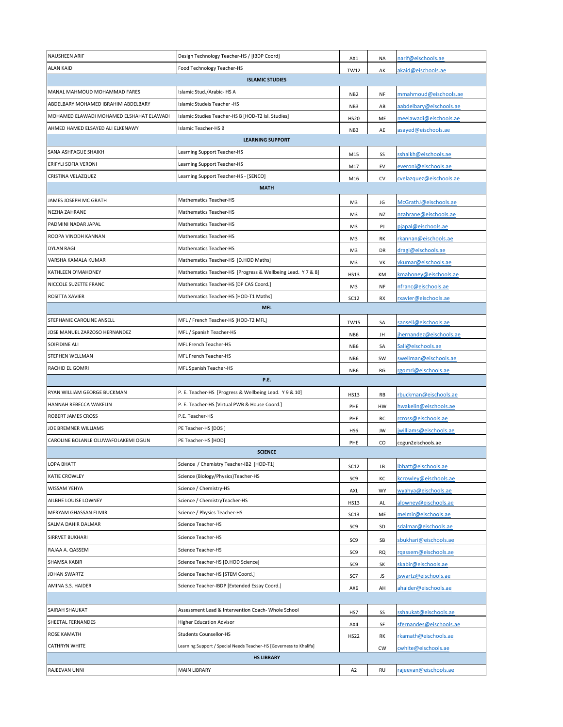| NAUSHEEN ARIF                            | Design Technology Teacher-HS / [IBDP Coord]                        | AX1             | <b>NA</b> | narif@eischools.ae      |  |
|------------------------------------------|--------------------------------------------------------------------|-----------------|-----------|-------------------------|--|
| <b>ALAN KAID</b>                         | Food Technology Teacher-HS                                         | <b>TW12</b>     | AK        | akaid@eischools.ae      |  |
|                                          | <b>ISLAMIC STUDIES</b>                                             |                 |           |                         |  |
| MANAL MAHMOUD MOHAMMAD FARES             | Islamic Stud./Arabic-HSA                                           | NB <sub>2</sub> | NF        | mmahmoud@eischools.ae   |  |
| ABDELBARY MOHAMED IBRAHIM ABDELBARY      | Islamic Studeis Teacher -HS                                        | NB3             | AB        | aabdelbary@eischools.ae |  |
| MOHAMED ELAWADI MOHAMED ELSHAHAT ELAWADI | Islamic Studies Teacher-HS B [HOD-T2 Isl. Studies]                 | <b>HS20</b>     | ME        | meelawadi@eischools.ae  |  |
| AHMED HAMED ELSAYED ALI ELKENAWY         | Islamic Teacher-HS B                                               | NB <sub>3</sub> | AE        | asayed@eischools.ae     |  |
|                                          | <b>LEARNING SUPPORT</b>                                            |                 |           |                         |  |
| SANA ASHFAGUE SHAIKH                     | Learning Support Teacher-HS                                        | M15             | SS        | sshaikh@eischools.ae    |  |
| ERIFYLI SOFIA VERONI                     | Learning Support Teacher-HS                                        | M17             | EV        | everoni@eischools.ae    |  |
| CRISTINA VELAZQUEZ                       | Learning Support Teacher-HS - [SENCO]                              | M16             | CV        | cvelazquez@eischools.ae |  |
|                                          | <b>MATH</b>                                                        |                 |           |                         |  |
| JAMES JOSEPH MC GRATH                    | <b>Mathematics Teacher-HS</b>                                      | M3              | JG        | McGrathJ@eischools.ae   |  |
| NEZHA ZAHRANE                            | <b>Mathematics Teacher-HS</b>                                      | M3              | <b>NZ</b> | nzahrane@eischools.ae   |  |
| PADMINI NADAR JAPAL                      | Mathematics Teacher-HS                                             | M3              | PJ        | pjapal@eischools.ae     |  |
| ROOPA VINODH KANNAN                      | <b>Mathematics Teacher-HS</b>                                      | M3              | RK        | rkannan@eischools.ae    |  |
| <b>DYLAN RAGI</b>                        | <b>Mathematics Teacher-HS</b>                                      | M3              | DR        | dragi@eischools.ae      |  |
| VARSHA KAMALA KUMAR                      | Mathematics Teacher-HS [D.HOD Maths]                               | M3              | VK        | vkumar@eischools.ae     |  |
| KATHLEEN O'MAHONEY                       | Mathematics Teacher-HS [Progress & Wellbeing Lead. Y 7 & 8]        | <b>HS13</b>     | KM        | kmahoney@eischools.ae   |  |
| NICCOLE SUZETTE FRANC                    | Mathematics Teacher-HS [DP CAS Coord.]                             | M3              | NF        | nfranc@eischools.ae     |  |
| ROSITTA XAVIER                           | Mathematics Teacher-HS [HOD-T1 Maths]                              | <b>SC12</b>     | RX        | rxavier@eischools.ae    |  |
|                                          | <b>MFL</b>                                                         |                 |           |                         |  |
| STEPHANIE CAROLINE ANSELL                | MFL / French Teacher-HS [HOD-T2 MFL]                               | <b>TW15</b>     | SA        | sansell@eischools.ae    |  |
| JOSE MANUEL ZARZOSO HERNANDEZ            | MFL / Spanish Teacher-HS                                           | NB <sub>6</sub> | JH        | jhernandez@eischools.ae |  |
| SOIFIDINE ALI                            | MFL French Teacher-HS                                              | NB <sub>6</sub> | SA        | Sali@eischools.ae       |  |
| STEPHEN WELLMAN                          | MFL French Teacher-HS                                              | NB <sub>6</sub> | SW        | swellman@eischools.ae   |  |
| RACHID EL GOMRI                          | MFL Spanish Teacher-HS                                             | NB <sub>6</sub> | RG        | rgomri@eischools.ae     |  |
|                                          | P.E.                                                               |                 |           |                         |  |
| RYAN WILLIAM GEORGE BUCKMAN              | P. E. Teacher-HS [Progress & Wellbeing Lead. Y 9 & 10]             | <b>HS13</b>     | RB        | rbuckman@eischools.ae   |  |
| HANNAH REBECCA WAKELIN                   | P. E. Teacher-HS [Virtual PWB & House Coord.]                      | PHE             | HW        | hwakelin@eischools.ae   |  |
| ROBERT JAMES CROSS                       | P.E. Teacher-HS                                                    | PHE             | RC        | rcross@eischools.ae     |  |
| JOE BREMNER WILLIAMS                     | PE Teacher-HS [DOS]                                                | HS6             | JW        | jwilliams@eischools.ae  |  |
| CAROLINE BOLANLE OLUWAFOLAKEMI OGUN      | PE Teacher-HS [HOD]                                                | PHE             | CO        | cogun2eischools.ae      |  |
|                                          | <b>SCIENCE</b>                                                     |                 |           |                         |  |
| LOPA BHATT                               | Science / Chemistry Teacher-IB2 [HOD-T1]                           | <b>SC12</b>     | LВ        | lbhatt@eischools.ae     |  |
| KATIE CROWLEY                            | Science (Biology/Physics)Teacher-HS                                | SC <sub>9</sub> | КC        | kcrowley@eischools.ae   |  |
| <b>WISSAM YEHYA</b>                      | Science / Chemistry-HS                                             | AXL             | WY        | wyahya@eischools.ae     |  |
| AILBHE LOUISE LOWNEY                     | Science / ChemistryTeacher-HS                                      | <b>HS13</b>     | AL        | alowney@eischools.ae    |  |
| MERYAM GHASSAN ELMIR                     | Science / Physics Teacher-HS                                       | SC13            | ME        | melmir@eischools.ae     |  |
| SALMA DAHIR DALMAR                       | Science Teacher-HS                                                 | SC9             | $\sf SD$  | sdalmar@eischools.ae    |  |
| SIRRVET BUKHARI                          | Science Teacher-HS                                                 | SC <sub>9</sub> | SB        | sbukhari@eischools.ae   |  |
| RAJAA A. QASSEM                          | Science Teacher-HS                                                 | SC <sub>9</sub> | RQ        | rgassem@eischools.ae    |  |
| SHAMSA KABIR                             | Science Teacher-HS [D.HOD Science]                                 | SC <sub>9</sub> | SK        | skabir@eischools.ae     |  |
| JOHAN SWARTZ                             | Science Teacher-HS [STEM Coord.]                                   | SC7             | JS        | jswartz@eischools.ae    |  |
| AMINA S.S. HAIDER                        | Science Teacher-IBDP [Extended Essay Coord.]                       | AX6             | AH        | ahaider@eischools.ae    |  |
|                                          |                                                                    |                 |           |                         |  |
| SAIRAH SHAUKAT                           | Assessment Lead & Intervention Coach- Whole School                 | HS7             | SS        | sshaukat@eischools.ae   |  |
| SHEETAL FERNANDES                        | <b>Higher Education Advisor</b>                                    | AX4             | SF        | sfernandes@eischools.ae |  |
| ROSE KAMATH                              | <b>Students Counsellor-HS</b>                                      | <b>HS22</b>     | RK        | rkamath@eischools.ae    |  |
| <b>CATHRYN WHITE</b>                     | Learning Support / Special Needs Teacher-HS [Governess to Khalifa] |                 | <b>CW</b> | cwhite@eischools.ae     |  |
| <b>HS LIBRARY</b>                        |                                                                    |                 |           |                         |  |
| RAJEEVAN UNNI                            | <b>MAIN LIBRARY</b>                                                | A <sub>2</sub>  | <b>RU</b> | rajeevan@eischools.ae   |  |